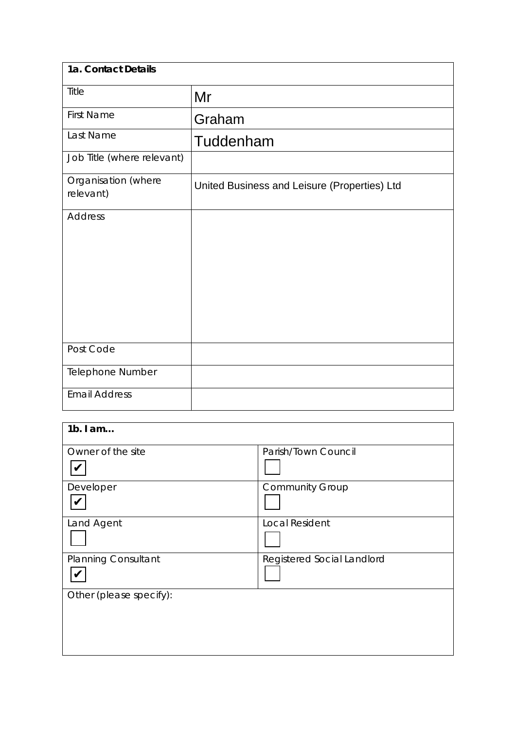| 1a. Contact Details              |                                              |
|----------------------------------|----------------------------------------------|
| Title                            | Mr                                           |
| <b>First Name</b>                | Graham                                       |
| Last Name                        | Tuddenham                                    |
| Job Title (where relevant)       |                                              |
| Organisation (where<br>relevant) | United Business and Leisure (Properties) Ltd |
| <b>Address</b>                   |                                              |
| Post Code                        |                                              |
| Telephone Number                 |                                              |
| <b>Email Address</b>             |                                              |

| $1b.$ I am                 |                            |
|----------------------------|----------------------------|
| Owner of the site          | Parish/Town Council        |
| Developer                  | <b>Community Group</b>     |
| Land Agent                 | <b>Local Resident</b>      |
| <b>Planning Consultant</b> | Registered Social Landlord |
| Other (please specify):    |                            |
|                            |                            |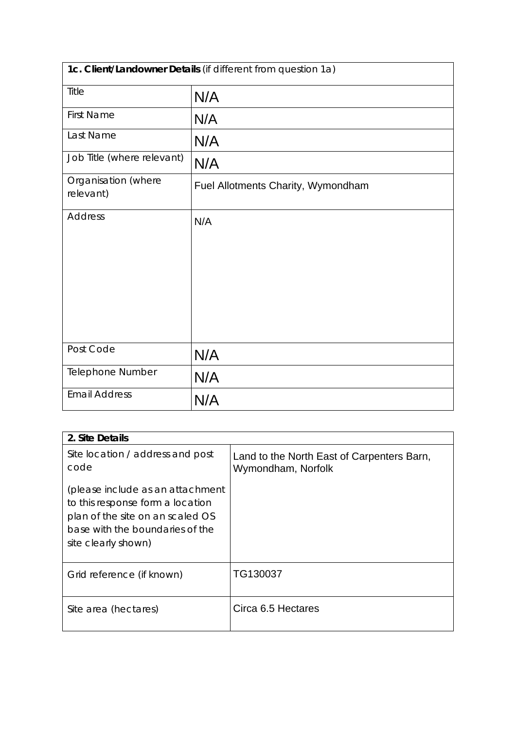| 1c. Client/Landowner Details (if different from question 1a) |                                    |  |
|--------------------------------------------------------------|------------------------------------|--|
| Title                                                        | N/A                                |  |
| <b>First Name</b>                                            | N/A                                |  |
| Last Name                                                    | N/A                                |  |
| Job Title (where relevant)                                   | N/A                                |  |
| Organisation (where<br>relevant)                             | Fuel Allotments Charity, Wymondham |  |
| <b>Address</b>                                               | N/A                                |  |
| Post Code                                                    | N/A                                |  |
| <b>Telephone Number</b>                                      | N/A                                |  |
| <b>Email Address</b>                                         | N/A                                |  |

| 2. Site Details                                                                                                                                                    |                                                                  |
|--------------------------------------------------------------------------------------------------------------------------------------------------------------------|------------------------------------------------------------------|
| Site location / address and post<br>code                                                                                                                           | Land to the North East of Carpenters Barn,<br>Wymondham, Norfolk |
| (please include as an attachment<br>to this response form a location<br>plan of the site on an scaled OS<br>base with the boundaries of the<br>site clearly shown) |                                                                  |
| Grid reference (if known)                                                                                                                                          | TG130037                                                         |
| Site area (hectares)                                                                                                                                               | Circa 6.5 Hectares                                               |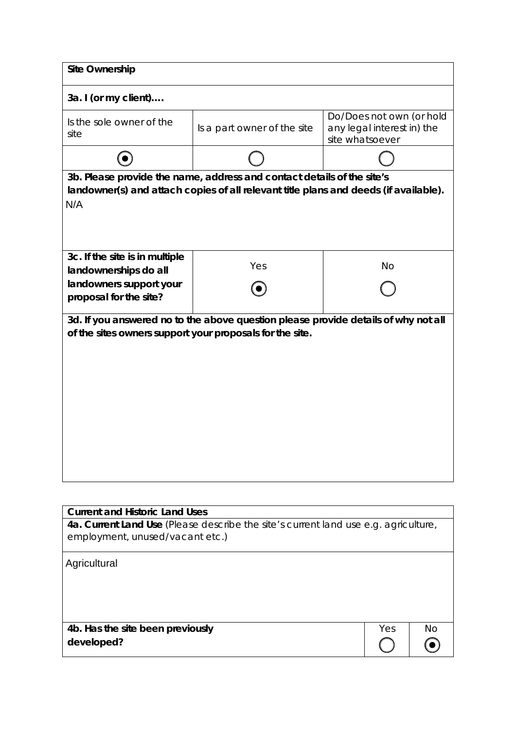| <b>Site Ownership</b>                                                                                                                                                 |                                                                                     |                                                                           |
|-----------------------------------------------------------------------------------------------------------------------------------------------------------------------|-------------------------------------------------------------------------------------|---------------------------------------------------------------------------|
| 3a. I (or my client)                                                                                                                                                  |                                                                                     |                                                                           |
| Is the sole owner of the<br>site                                                                                                                                      | Is a part owner of the site                                                         | Do/Does not own (or hold<br>any legal interest in) the<br>site whatsoever |
|                                                                                                                                                                       |                                                                                     |                                                                           |
| 3b. Please provide the name, address and contact details of the site's<br>landowner(s) and attach copies of all relevant title plans and deeds (if available).<br>N/A |                                                                                     |                                                                           |
| 3c. If the site is in multiple<br>landownerships do all<br>landowners support your<br>proposal for the site?                                                          | Yes                                                                                 | <b>No</b>                                                                 |
| 3d. If you answered no to the above question please provide details of why not all<br>of the sites owners support your proposals for the site.                        |                                                                                     |                                                                           |
|                                                                                                                                                                       |                                                                                     |                                                                           |
| <b>Current and Historic Land Uses</b>                                                                                                                                 | 4a. Current Land Use (Please describe the site's current land use e.g. agriculture, |                                                                           |
| employment, unused/vacant etc.)                                                                                                                                       |                                                                                     |                                                                           |

Yes No

 $\odot$ 

| Agricultural |  |
|--------------|--|
|              |  |

**4b. Has the site been previously developed?**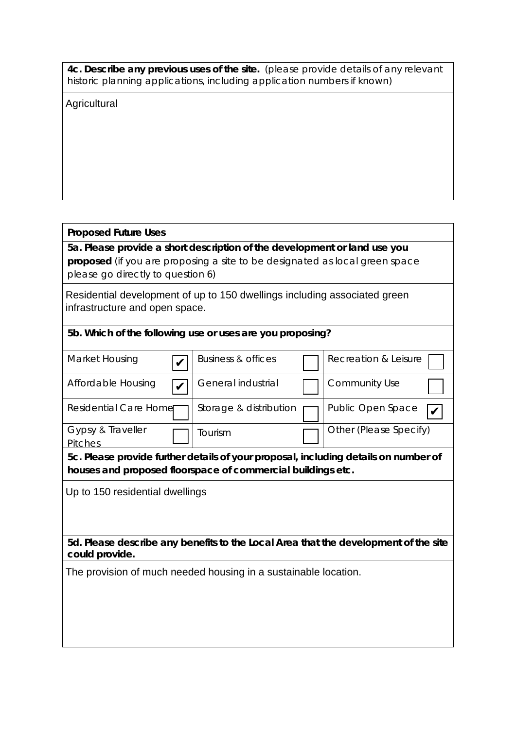| 4c. Describe any previous uses of the site. (please provide details of any relevant |  |
|-------------------------------------------------------------------------------------|--|
| historic planning applications, including application numbers if known)             |  |

**Agricultural** 

## **Proposed Future Uses**

**5a. Please provide a short description of the development or land use you proposed** (if you are proposing a site to be designated as local green space please go directly to question 6)

Residential development of up to 150 dwellings including associated green infrastructure and open space.

## **5b. Which of the following use or uses are you proposing?**

| Business & offices           |                                 | Recreation & Leisure                                                                                                                               |
|------------------------------|---------------------------------|----------------------------------------------------------------------------------------------------------------------------------------------------|
| General industrial           |                                 | Community Use                                                                                                                                      |
| Storage & distribution       |                                 | Public Open Space                                                                                                                                  |
| .<br>Fourism                 |                                 | Other (Please Specify)                                                                                                                             |
|                              |                                 |                                                                                                                                                    |
|                              |                                 |                                                                                                                                                    |
| <b>Residential Care Home</b> | Up to 150 residential dwellings | 5c. Please provide further details of your proposal, including details on number of<br>houses and proposed floorspace of commercial buildings etc. |

**5d. Please describe any benefits to the Local Area that the development of the site could provide.**

The provision of much needed housing in a sustainable location.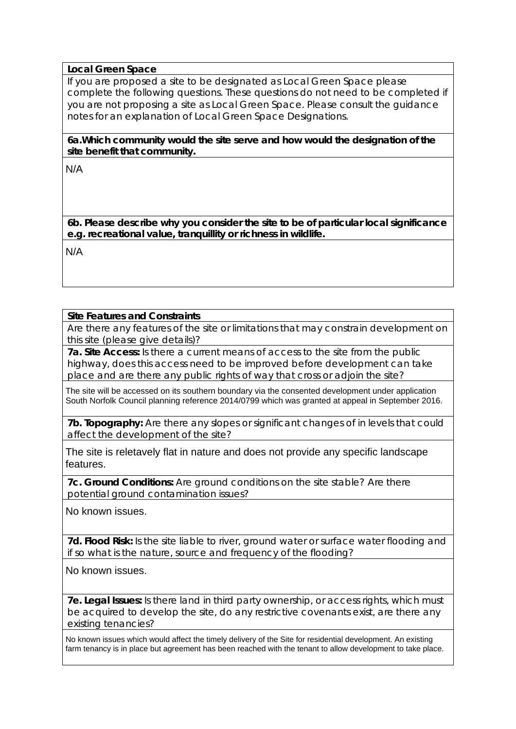## **Local Green Space**

If you are proposed a site to be designated as Local Green Space please complete the following questions. These questions do not need to be completed if you are not proposing a site as Local Green Space. Please consult the guidance notes for an explanation of Local Green Space Designations.

**6a.Which community would the site serve and how would the designation of the site benefit that community.** 

N/A

**6b. Please describe why you consider the site to be of particular local significance e.g. recreational value, tranquillity or richness in wildlife.**

N/A

## **Site Features and Constraints**

Are there any features of the site or limitations that may constrain development on this site (please give details)?

**7a. Site Access:** Is there a current means of access to the site from the public highway, does this access need to be improved before development can take place and are there any public rights of way that cross or adjoin the site?

The site will be accessed on its southern boundary via the consented development under application South Norfolk Council planning reference 2014/0799 which was granted at appeal in September 2016.

**7b. Topography:** Are there any slopes or significant changes of in levels that could affect the development of the site?

The site is reletavely flat in nature and does not provide any specific landscape features.

**7c. Ground Conditions:** Are ground conditions on the site stable? Are there potential ground contamination issues?

No known issues.

**7d. Flood Risk:** Is the site liable to river, ground water or surface water flooding and if so what is the nature, source and frequency of the flooding?

No known issues.

**7e. Legal Issues:** Is there land in third party ownership, or access rights, which must be acquired to develop the site, do any restrictive covenants exist, are there any existing tenancies?

No known issues which would affect the timely delivery of the Site for residential development. An existing farm tenancy is in place but agreement has been reached with the tenant to allow development to take place.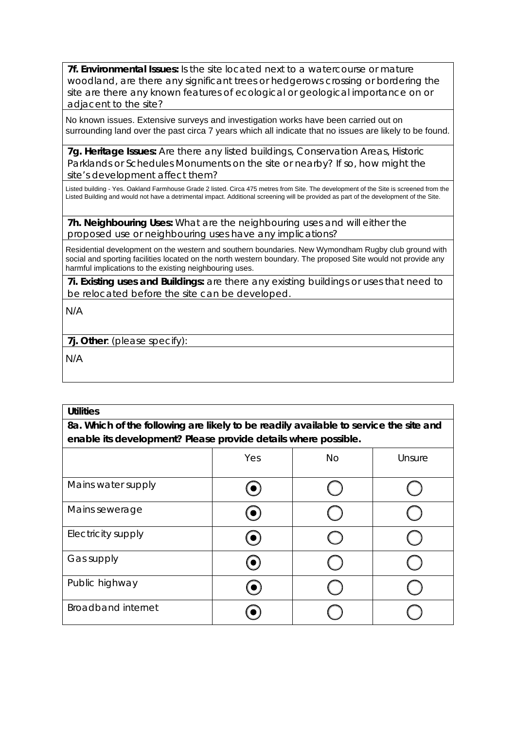**7f. Environmental Issues:** Is the site located next to a watercourse or mature woodland, are there any significant trees or hedgerows crossing or bordering the site are there any known features of ecological or geological importance on or adjacent to the site?

No known issues. Extensive surveys and investigation works have been carried out on surrounding land over the past circa 7 years which all indicate that no issues are likely to be found.

**7g. Heritage Issues:** Are there any listed buildings, Conservation Areas, Historic Parklands or Schedules Monuments on the site or nearby? If so, how might the site's development affect them?

Listed building - Yes. Oakland Farmhouse Grade 2 listed. Circa 475 metres from Site. The development of the Site is screened from the Listed Building and would not have a detrimental impact. Additional screening will be provided as part of the development of the Site.

**7h. Neighbouring Uses:** What are the neighbouring uses and will either the proposed use or neighbouring uses have any implications?

Residential development on the western and southern boundaries. New Wymondham Rugby club ground with social and sporting facilities located on the north western boundary. The proposed Site would not provide any harmful implications to the existing neighbouring uses.

**7i. Existing uses and Buildings:** are there any existing buildings or uses that need to be relocated before the site can be developed.

N/A

**7j. Other**: (please specify):

N/A

#### **Utilities**

**8a. Which of the following are likely to be readily available to service the site and enable its development? Please provide details where possible.**

|                           | Yes         | <b>No</b> | Unsure |
|---------------------------|-------------|-----------|--------|
| Mains water supply        |             |           |        |
| Mains sewerage            | $(\bullet)$ |           |        |
| Electricity supply        | (●)         |           |        |
| Gas supply                | $\bullet$ ) |           |        |
| Public highway            |             |           |        |
| <b>Broadband internet</b> |             |           |        |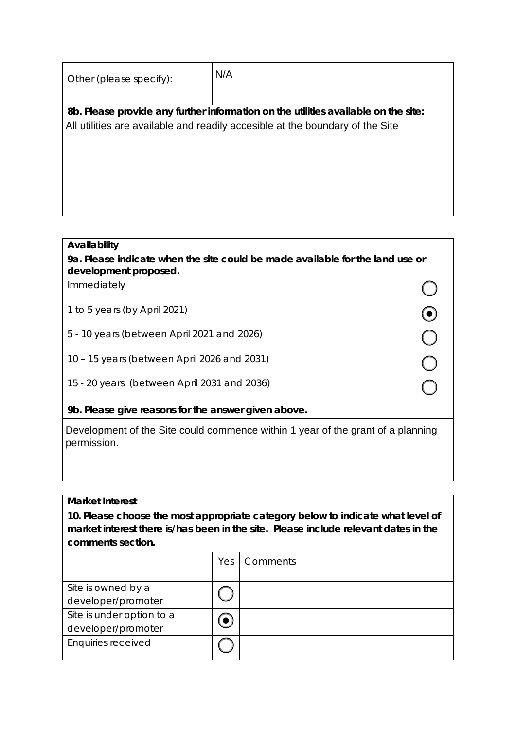| Other (please specify): | N/A                                                                                |
|-------------------------|------------------------------------------------------------------------------------|
|                         |                                                                                    |
|                         | 8b. Please provide any further information on the utilities available on the site: |
|                         | All utilities are available and readily accesible at the boundary of the Site      |
|                         |                                                                                    |
|                         |                                                                                    |
|                         |                                                                                    |
|                         |                                                                                    |
|                         |                                                                                    |
|                         |                                                                                    |

### **Availability**

**9a. Please indicate when the site could be made available for the land use or development proposed.**

 $\left( \begin{array}{c} \end{array} \right)$ 

 $\odot$ 

 $\overline{\bigcirc}$ 

 $\overline{\bigcirc}$ 

 $\bigcirc$ 

Immediately

1 to 5 years (by April 2021)

5 - 10 years (between April 2021 and 2026)

10 – 15 years (between April 2026 and 2031)

15 - 20 years (between April 2031 and 2036)

**9b. Please give reasons for the answer given above.**

Development of the Site could commence within 1 year of the grant of a planning permission.

## **Market Interest**

**10. Please choose the most appropriate category below to indicate what level of market interest there is/has been in the site. Please include relevant dates in the comments section.**

|                           | Yes | Comments |
|---------------------------|-----|----------|
| Site is owned by a        |     |          |
| developer/promoter        |     |          |
| Site is under option to a |     |          |
| developer/promoter        |     |          |
| Enquiries received        |     |          |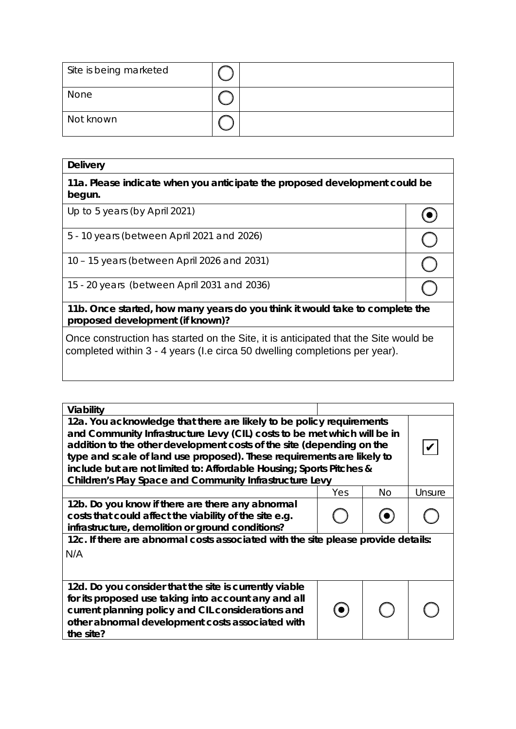| Site is being marketed |  |
|------------------------|--|
| None                   |  |
| Not known              |  |

| <b>Delivery</b>                                                                                                                                                   |  |  |
|-------------------------------------------------------------------------------------------------------------------------------------------------------------------|--|--|
| 11a. Please indicate when you anticipate the proposed development could be<br>begun.                                                                              |  |  |
| Up to 5 years (by April 2021)                                                                                                                                     |  |  |
| 5 - 10 years (between April 2021 and 2026)                                                                                                                        |  |  |
| 10 - 15 years (between April 2026 and 2031)                                                                                                                       |  |  |
| 15 - 20 years (between April 2031 and 2036)                                                                                                                       |  |  |
| 11b. Once started, how many years do you think it would take to complete the<br>proposed development (if known)?                                                  |  |  |
| Once construction has started on the Site, it is anticipated that the Site would be<br>completed within 3 - 4 years (I.e circa 50 dwelling completions per year). |  |  |

| Viability                                                                                                                                                                                                                                                                                                                                                                                                                              |     |     |        |
|----------------------------------------------------------------------------------------------------------------------------------------------------------------------------------------------------------------------------------------------------------------------------------------------------------------------------------------------------------------------------------------------------------------------------------------|-----|-----|--------|
| 12a. You acknowledge that there are likely to be policy requirements<br>and Community Infrastructure Levy (CIL) costs to be met which will be in<br>addition to the other development costs of the site (depending on the<br>type and scale of land use proposed). These requirements are likely to<br>include but are not limited to: Affordable Housing; Sports Pitches &<br>Children's Play Space and Community Infrastructure Levy |     |     |        |
|                                                                                                                                                                                                                                                                                                                                                                                                                                        | Yes | No. | Unsure |
| 12b. Do you know if there are there any abnormal<br>costs that could affect the viability of the site e.g.<br>infrastructure, demolition or ground conditions?                                                                                                                                                                                                                                                                         |     |     |        |
| 12c. If there are abnormal costs associated with the site please provide details:<br>N/A                                                                                                                                                                                                                                                                                                                                               |     |     |        |
| 12d. Do you consider that the site is currently viable<br>for its proposed use taking into account any and all<br>current planning policy and CIL considerations and<br>other abnormal development costs associated with<br>the site?                                                                                                                                                                                                  |     |     |        |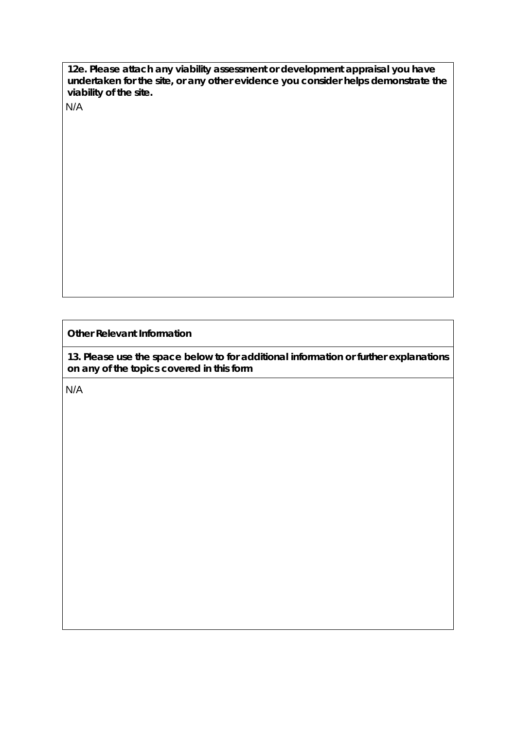**12e. Please attach any viability assessment or development appraisal you have undertaken for the site, or any other evidence you consider helps demonstrate the viability of the site.** 

N/A

**Other Relevant Information**

**13. Please use the space below to for additional information or further explanations on any of the topics covered in this form**

N/A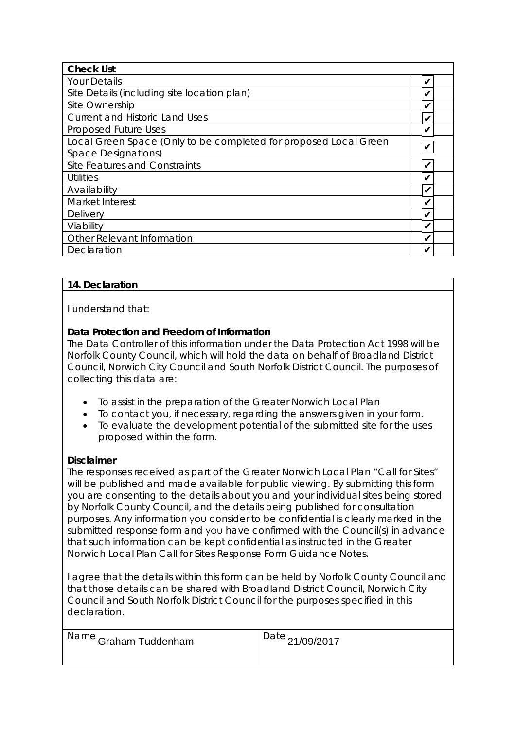| <b>Check List</b>                                                |   |
|------------------------------------------------------------------|---|
| <b>Your Details</b>                                              |   |
| Site Details (including site location plan)                      |   |
| Site Ownership                                                   |   |
| <b>Current and Historic Land Uses</b>                            |   |
| Proposed Future Uses                                             |   |
| Local Green Space (Only to be completed for proposed Local Green |   |
| Space Designations)                                              |   |
| Site Features and Constraints                                    | V |
| <b>Utilities</b>                                                 |   |
| Availability                                                     |   |
| Market Interest                                                  |   |
| Delivery                                                         |   |
| Viability                                                        |   |
| Other Relevant Information                                       |   |
| Declaration                                                      |   |

# **14. Declaration**

I understand that:

# **Data Protection and Freedom of Information**

The Data Controller of this information under the Data Protection Act 1998 will be Norfolk County Council, which will hold the data on behalf of Broadland District Council, Norwich City Council and South Norfolk District Council. The purposes of collecting this data are:

- To assist in the preparation of the Greater Norwich Local Plan
- To contact you, if necessary, regarding the answers given in your form.
- To evaluate the development potential of the submitted site for the uses proposed within the form.

## **Disclaimer**

The responses received as part of the Greater Norwich Local Plan "Call for Sites" will be published and made available for public viewing. By submitting this form you are consenting to the details about you and your individual sites being stored by Norfolk County Council, and the details being published for consultation purposes. Any information you consider to be confidential is clearly marked in the submitted response form and you have confirmed with the Council(s) in advance that such information can be kept confidential as instructed in the Greater Norwich Local Plan Call for Sites Response Form Guidance Notes.

I agree that the details within this form can be held by Norfolk County Council and that those details can be shared with Broadland District Council, Norwich City Council and South Norfolk District Council for the purposes specified in this declaration.

| , <sup>Name</sup> Graham Tuddenham | Date 21/09/2017 |
|------------------------------------|-----------------|
|                                    |                 |